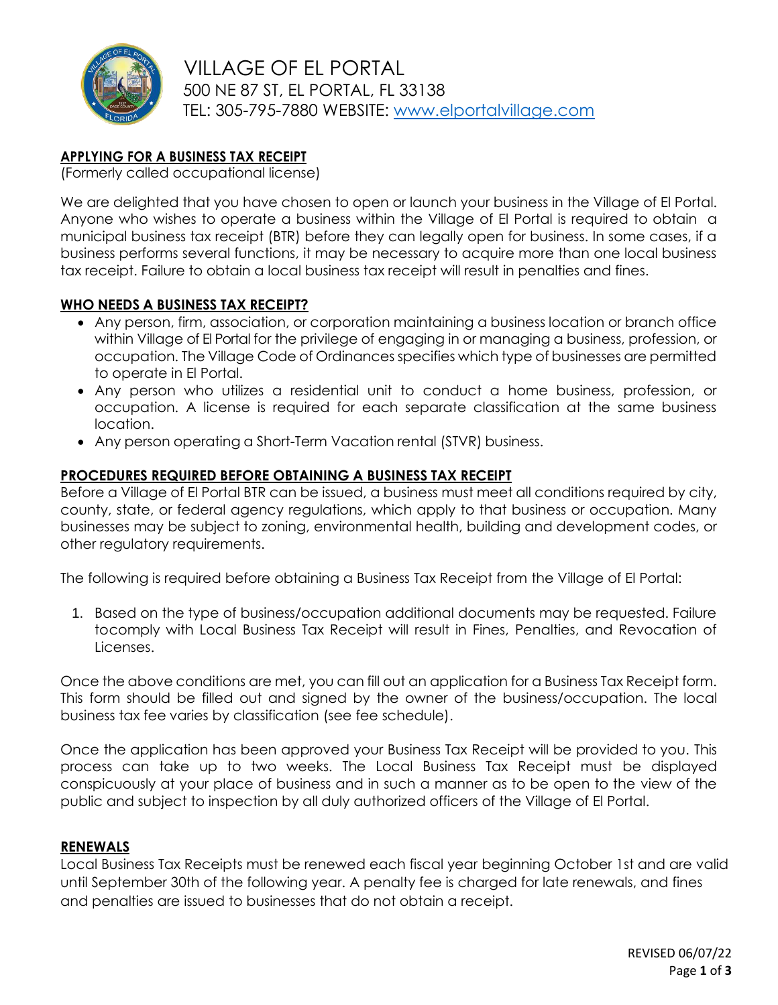

 VILLAGE OF EL PORTAL 500 NE 87 ST, EL PORTAL, FL 33138 TEL: 305-795-7880 WEBSITE: [www.elportalvillage.com](http://www.elportalvillage.com/)

# **APPLYING FOR A BUSINESS TAX RECEIPT**

(Formerly called occupational license)

We are delighted that you have chosen to open or launch your business in the Village of El Portal. Anyone who wishes to operate a business within the Village of El Portal is required to obtain a municipal business tax receipt (BTR) before they can legally open for business. In some cases, if a business performs several functions, it may be necessary to acquire more than one local business tax receipt. Failure to obtain a local business tax receipt will result in penalties and fines.

### **WHO NEEDS A BUSINESS TAX RECEIPT?**

- Any person, firm, association, or corporation maintaining a business location or branch office within Village of El Portal for the privilege of engaging in or managing a business, profession, or occupation. The Village Code of Ordinances specifies which type of businesses are permitted to operate in El Portal.
- Any person who utilizes a residential unit to conduct a home business, profession, or occupation. A license is required for each separate classification at the same business location.
- Any person operating a Short-Term Vacation rental (STVR) business.

#### **PROCEDURES REQUIRED BEFORE OBTAINING A BUSINESS TAX RECEIPT**

Before a Village of El Portal BTR can be issued, a business must meet all conditions required by city, county, state, or federal agency regulations, which apply to that business or occupation. Many businesses may be subject to zoning, environmental health, building and development codes, or other regulatory requirements.

The following is required before obtaining a Business Tax Receipt from the Village of El Portal:

1. Based on the type of business/occupation additional documents may be requested. Failure tocomply with Local Business Tax Receipt will result in Fines, Penalties, and Revocation of Licenses.

Once the above conditions are met, you can fill out an application for a Business Tax Receipt form. This form should be filled out and signed by the owner of the business/occupation. The local business tax fee varies by classification (see fee schedule).

Once the application has been approved your Business Tax Receipt will be provided to you. This process can take up to two weeks. The Local Business Tax Receipt must be displayed conspicuously at your place of business and in such a manner as to be open to the view of the public and subject to inspection by all duly authorized officers of the Village of El Portal.

#### **RENEWALS**

Local Business Tax Receipts must be renewed each fiscal year beginning October 1st and are valid until September 30th of the following year. A penalty fee is charged for late renewals, and fines and penalties are issued to businesses that do not obtain a receipt.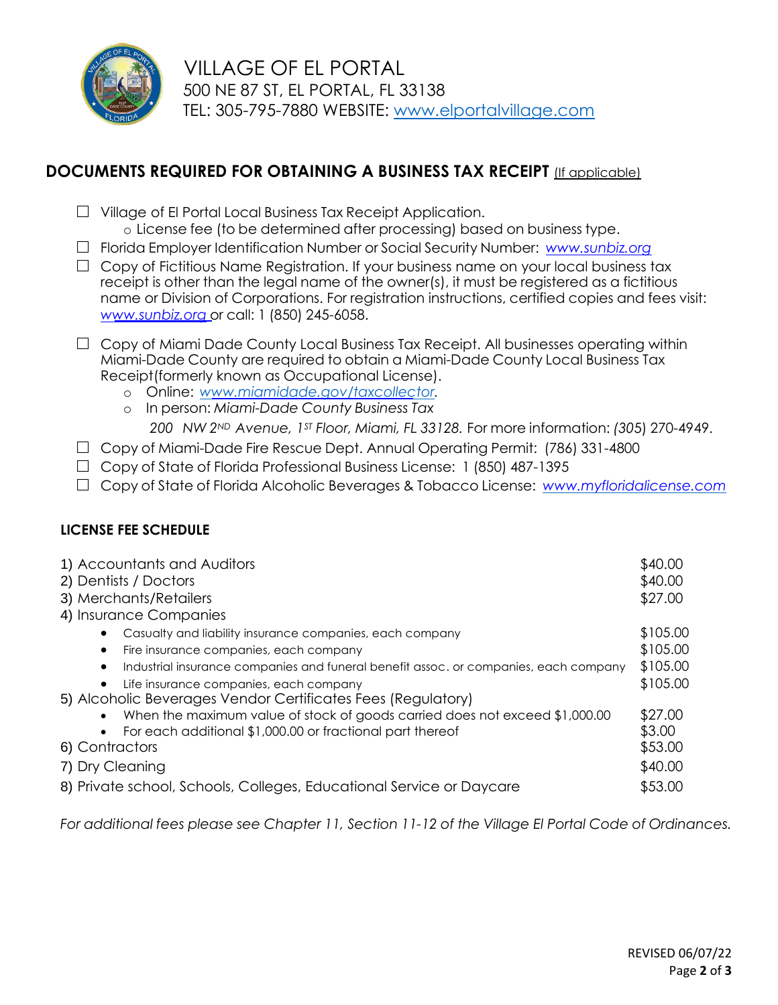

 VILLAGE OF EL PORTAL 500 NE 87 ST, EL PORTAL, FL 33138 TEL: 305-795-7880 WEBSITE: [www.elportalvillage.com](http://www.elportalvillage.com/)

# **DOCUMENTS REQUIRED FOR OBTAINING A BUSINESS TAX RECEIPT** (If applicable)

- □ Village of El Portal Local Business Tax Receipt Application.
	- o License fee (to be determined after processing) based on business type.
- □ Florida Employer Identification Number or Social Security Number: *[www.sunbiz.org](http://www.sunbiz.org/)*
- □ Copy of Fictitious Name Registration. If your business name on your local business tax receipt is other than the legal name of the owner(s), it must be registered as a fictitious name or Division of Corporations. For registration instructions, certified copies and fees visit: *[www.sunbiz.org](http://www.sunbiz.org/)* or call: 1 (850) 245-6058.
- $\Box$  Copy of Miami Dade County Local Business Tax Receipt. All businesses operating within Miami-Dade County are required to obtain a Miami-Dade County Local Business Tax Receipt(formerly known as Occupational License).
	- o Online: *[www.miamidade.gov/taxcollector.](http://www.miamidade.gov/taxcollector)*
	- o In person: *Miami-Dade County Business Tax*

*200 NW 2ND Avenue, 1ST Floor, Miami, FL 33128.* For more information: *(30*5) 270-4949.

- □ Copy of Miami-Dade Fire Rescue Dept. Annual Operating Permit: (786) 331-4800
- □ Copy of State of Florida Professional Business License: 1 (850) 487-1395
- □ Copy of State of Florida Alcoholic Beverages & Tobacco License: *[www.myfloridalicense.com](http://www.myfloridalicense.com/)*

# **LICENSE FEE SCHEDULE**

| \$40.00  |
|----------|
| \$40.00  |
| \$27.00  |
|          |
| \$105.00 |
| \$105.00 |
| \$105.00 |
| \$105.00 |
|          |
| \$27.00  |
| \$3.00   |
| \$53.00  |
| \$40.00  |
| \$53.00  |
|          |

*For additional fees please see Chapter 11, Section 11-12 of the Village El Portal Code of Ordinances.*